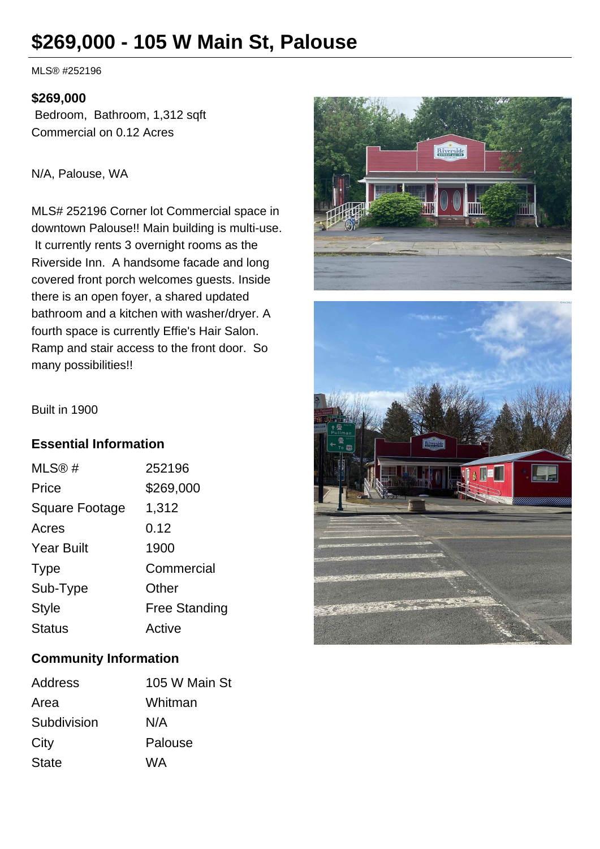# **\$269,000 - 105 W Main St, Palouse**

MLS® #252196

#### **\$269,000**

 Bedroom, Bathroom, 1,312 sqft Commercial on 0.12 Acres

#### N/A, Palouse, WA

MLS# 252196 Corner lot Commercial space in downtown Palouse!! Main building is multi-use. It currently rents 3 overnight rooms as the Riverside Inn. A handsome facade and long covered front porch welcomes guests. Inside there is an open foyer, a shared updated bathroom and a kitchen with washer/dryer. A fourth space is currently Effie's Hair Salon. Ramp and stair access to the front door. So many possibilities!!



Built in 1900

#### **Essential Information**

| MLS@#                 | 252196               |
|-----------------------|----------------------|
| Price                 | \$269,000            |
| <b>Square Footage</b> | 1,312                |
| Acres                 | 0.12                 |
| <b>Year Built</b>     | 1900                 |
| <b>Type</b>           | Commercial           |
| Sub-Type              | Other                |
| <b>Style</b>          | <b>Free Standing</b> |
| <b>Status</b>         | Active               |

### **Community Information**

| Address      | 105 W Main St |
|--------------|---------------|
| Area         | Whitman       |
| Subdivision  | N/A           |
| City         | Palouse       |
| <b>State</b> | WA            |